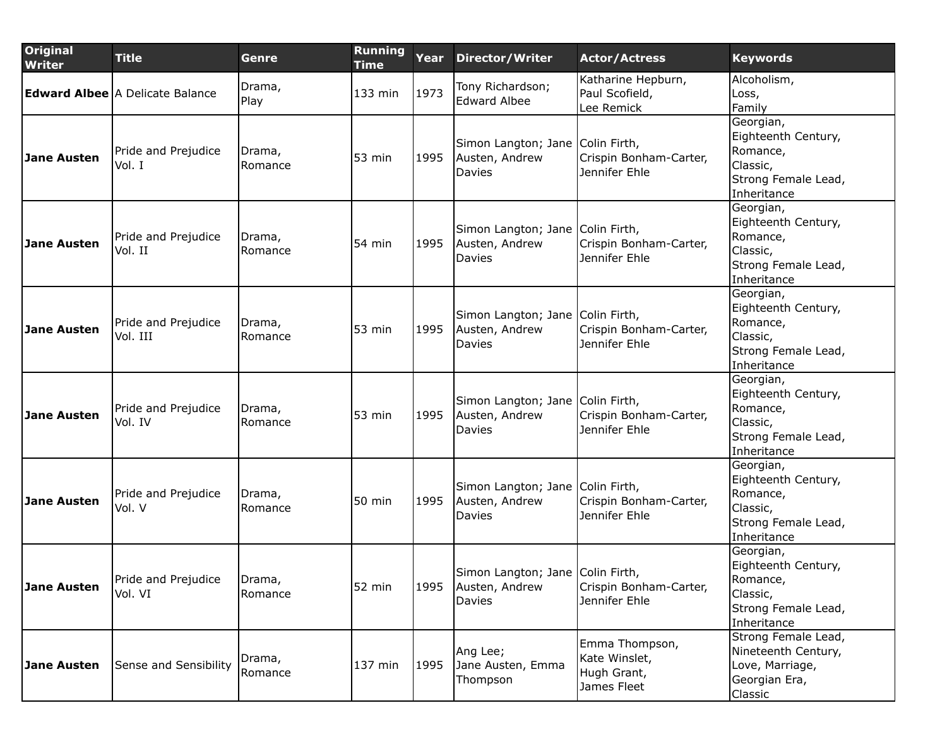| <b>Original</b><br><b>Writer</b> | <b>Title</b>                           | Genre              | <b>Running</b><br><b>Time</b> | Year | <b>Director/Writer</b>                                       | <b>Actor/Actress</b>                                          | <b>Keywords</b>                                                                                 |
|----------------------------------|----------------------------------------|--------------------|-------------------------------|------|--------------------------------------------------------------|---------------------------------------------------------------|-------------------------------------------------------------------------------------------------|
|                                  | <b>Edward Albee</b> A Delicate Balance | Drama,<br>Play     | 133 min                       | 1973 | Tony Richardson;<br><b>Edward Albee</b>                      | Katharine Hepburn,<br>Paul Scofield,<br>Lee Remick            | Alcoholism,<br>Loss,<br>Family                                                                  |
| <b>Jane Austen</b>               | Pride and Prejudice<br>Vol. I          | Drama,<br>Romance  | $53$ min                      | 1995 | Simon Langton; Jane Colin Firth,<br>Austen, Andrew<br>Davies | Crispin Bonham-Carter,<br>Jennifer Ehle                       | Georgian,<br>Eighteenth Century,<br>Romance,<br>Classic,<br>Strong Female Lead,<br>Inheritance  |
| <b>Jane Austen</b>               | Pride and Prejudice<br>Vol. II         | Drama,<br>Romance  | $54$ min                      | 1995 | Simon Langton; Jane Colin Firth,<br>Austen, Andrew<br>Davies | Crispin Bonham-Carter,<br>Jennifer Ehle                       | Georgian,<br>Eighteenth Century,<br>Romance,<br>Classic,<br>Strong Female Lead,<br>Inheritance  |
| <b>Jane Austen</b>               | Pride and Prejudice<br>Vol. III        | Drama,<br>Romance  | 53 min                        | 1995 | Simon Langton; Jane Colin Firth,<br>Austen, Andrew<br>Davies | Crispin Bonham-Carter,<br>Jennifer Ehle                       | Georgian,<br>Eighteenth Century,<br>Romance,<br>Classic,<br>Strong Female Lead,<br>Inheritance  |
| <b>Jane Austen</b>               | Pride and Prejudice<br>Vol. IV         | Drama,<br>Romance  | $53$ min                      | 1995 | Simon Langton; Jane Colin Firth,<br>Austen, Andrew<br>Davies | Crispin Bonham-Carter,<br>Jennifer Ehle                       | Georgian,<br>Eighteenth Century,<br>Romance,<br>Classic,<br>Strong Female Lead,<br>Inheritance  |
| <b>Jane Austen</b>               | Pride and Prejudice<br>Vol. V          | Drama,<br>Romance  | $50$ min                      | 1995 | Simon Langton; Jane Colin Firth,<br>Austen, Andrew<br>Davies | Crispin Bonham-Carter,<br>Jennifer Ehle                       | Georgian,<br>Eighteenth Century,<br>Romance,<br>Classic,<br>Strong Female Lead,<br>Inheritance  |
| <b>Jane Austen</b>               | Pride and Prejudice<br>Vol. VI         | IDrama,<br>Romance | $52$ min                      | 1995 | Simon Langton; Jane Colin Firth,<br>Austen, Andrew<br>Davies | Crispin Bonham-Carter,<br>Jennifer Ehle                       | Georgian,<br>Eighteenth Century,<br> Romance,<br>Classic,<br>Strong Female Lead,<br>Inheritance |
| <b>Jane Austen</b>               | Sense and Sensibility                  | Drama,<br>Romance  | 137 min                       | 1995 | Ang Lee;<br>Jane Austen, Emma<br>Thompson                    | Emma Thompson,<br>Kate Winslet,<br>Hugh Grant,<br>James Fleet | Strong Female Lead,<br>Nineteenth Century,<br>Love, Marriage,<br>Georgian Era,<br>Classic       |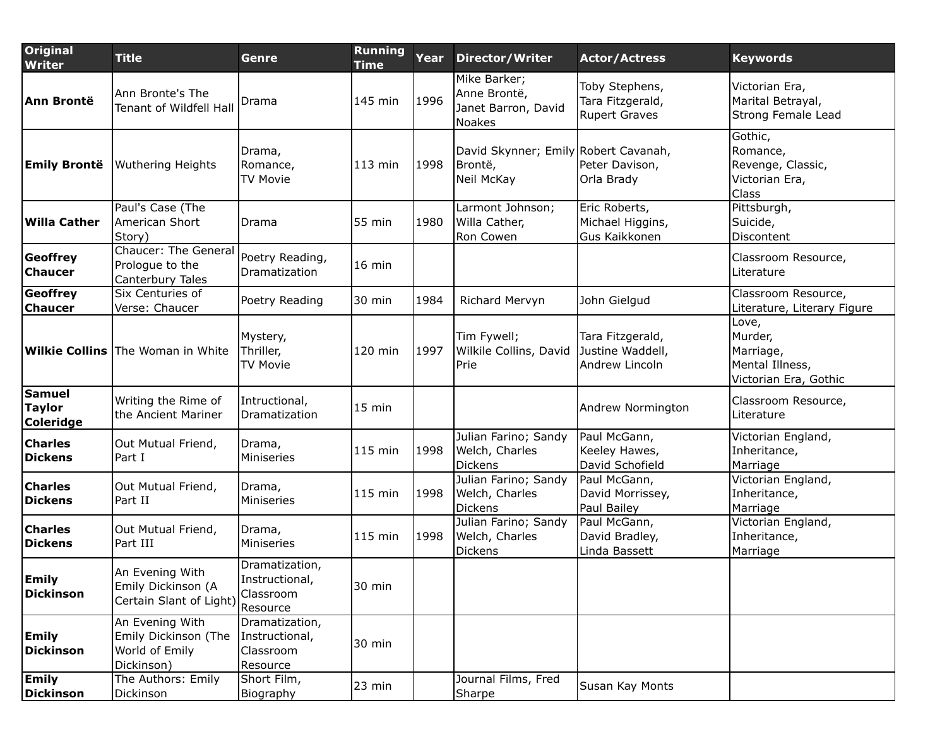| <b>Original</b><br><b>Writer</b>                   | <b>Title</b>                                                            | Genre                                                     | <b>Running</b><br><b>Time</b> | Year | <b>Director/Writer</b>                                        | <b>Actor/Actress</b>                                       | <b>Keywords</b>                                                           |
|----------------------------------------------------|-------------------------------------------------------------------------|-----------------------------------------------------------|-------------------------------|------|---------------------------------------------------------------|------------------------------------------------------------|---------------------------------------------------------------------------|
| Ann Brontë                                         | Ann Bronte's The<br>Tenant of Wildfell Hall                             | Drama                                                     | 145 min                       | 1996 | Mike Barker;<br>Anne Brontë,<br>Janet Barron, David<br>Noakes | Toby Stephens,<br>Tara Fitzgerald,<br><b>Rupert Graves</b> | Victorian Era,<br>Marital Betrayal,<br>Strong Female Lead                 |
| <b>Emily Brontë</b>                                | <b>Wuthering Heights</b>                                                | Drama,<br>Romance,<br><b>TV Movie</b>                     | 113 min                       | 1998 | David Skynner; Emily Robert Cavanah,<br>Brontë,<br>Neil McKay | Peter Davison,<br>Orla Brady                               | Gothic,<br>Romance,<br>Revenge, Classic,<br>Victorian Era,<br>Class       |
| Willa Cather                                       | Paul's Case (The<br>American Short<br>Story)                            | Drama                                                     | 55 min                        | 1980 | Larmont Johnson;<br>Willa Cather,<br>Ron Cowen                | Eric Roberts,<br>Michael Higgins,<br>Gus Kaikkonen         | Pittsburgh,<br>Suicide,<br>Discontent                                     |
| Geoffrey<br><b>Chaucer</b>                         | <b>Chaucer: The General</b><br>Prologue to the<br>Canterbury Tales      | Poetry Reading,<br>Dramatization                          | 16 min                        |      |                                                               |                                                            | Classroom Resource,<br>Literature                                         |
| Geoffrey<br><b>Chaucer</b>                         | Six Centuries of<br>Verse: Chaucer                                      | Poetry Reading                                            | 30 min                        | 1984 | Richard Mervyn                                                | John Gielgud                                               | Classroom Resource,<br>Literature, Literary Figure                        |
|                                                    | <b>Wilkie Collins</b> The Woman in White                                | Mystery,<br>Thriller,<br><b>TV Movie</b>                  | 120 min                       | 1997 | Tim Fywell;<br>Wilkile Collins, David<br>Prie                 | Tara Fitzgerald,<br>Justine Waddell,<br>Andrew Lincoln     | Love,<br>Murder,<br>Marriage,<br>Mental Illness,<br>Victorian Era, Gothic |
| <b>Samuel</b><br><b>Taylor</b><br><b>Coleridge</b> | Writing the Rime of<br>the Ancient Mariner                              | Intructional,<br>Dramatization                            | 15 min                        |      |                                                               | Andrew Normington                                          | Classroom Resource,<br>Literature                                         |
| <b>Charles</b><br><b>Dickens</b>                   | Out Mutual Friend,<br>Part I                                            | Drama,<br>Miniseries                                      | 115 min                       | 1998 | Julian Farino; Sandy<br>Welch, Charles<br><b>Dickens</b>      | Paul McGann,<br>Keeley Hawes,<br>David Schofield           | Victorian England,<br>Inheritance,<br>Marriage                            |
| <b>Charles</b><br><b>Dickens</b>                   | Out Mutual Friend,<br>Part II                                           | Drama,<br>Miniseries                                      | 115 min                       | 1998 | Julian Farino; Sandy<br>Welch, Charles<br><b>Dickens</b>      | Paul McGann,<br>David Morrissey,<br>Paul Bailey            | Victorian England,<br>Inheritance,<br>Marriage                            |
| <b>Charles</b><br><b>Dickens</b>                   | Out Mutual Friend,<br>Part III                                          | Drama,<br>Miniseries                                      | 115 min                       | 1998 | Julian Farino; Sandy<br>Welch, Charles<br>Dickens             | Paul McGann,<br>David Bradley,<br>Linda Bassett            | Victorian England,<br>Inheritance,<br>Marriage                            |
| <b>Emily</b><br><b>Dickinson</b>                   | An Evening With<br>Emily Dickinson (A<br>Certain Slant of Light)        | Dramatization,<br>Instructional,<br>Classroom<br>Resource | 30 min                        |      |                                                               |                                                            |                                                                           |
| <b>Emily</b><br><b>Dickinson</b>                   | An Evening With<br>Emily Dickinson (The<br>World of Emily<br>Dickinson) | Dramatization,<br>Instructional,<br>Classroom<br>Resource | 30 min                        |      |                                                               |                                                            |                                                                           |
| <b>Emily</b><br><b>Dickinson</b>                   | The Authors: Emily<br>Dickinson                                         | Short Film,<br>Biography                                  | 23 min                        |      | Journal Films, Fred<br>Sharpe                                 | Susan Kay Monts                                            |                                                                           |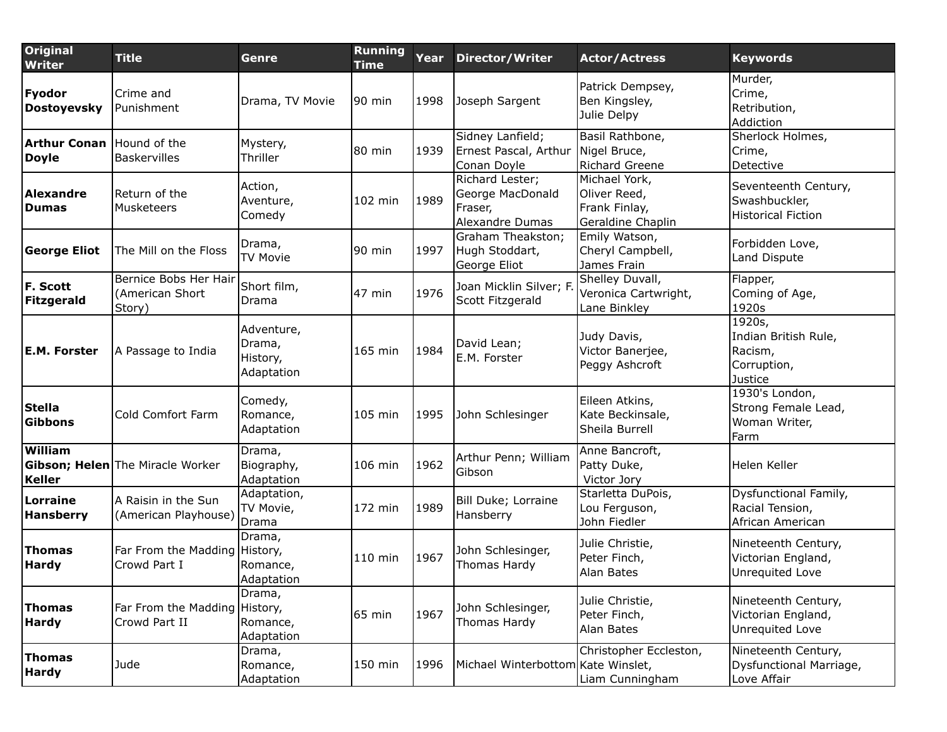| <b>Original</b><br><b>Writer</b>                 | <b>Title</b>                                       | Genre                                          | <b>Running</b><br><b>Time</b> | Year | <b>Director/Writer</b>                                            | <b>Actor/Actress</b>                                                | <b>Keywords</b>                                                     |
|--------------------------------------------------|----------------------------------------------------|------------------------------------------------|-------------------------------|------|-------------------------------------------------------------------|---------------------------------------------------------------------|---------------------------------------------------------------------|
| Fyodor<br><b>Dostoyevsky</b>                     | Crime and<br>Punishment                            | Drama, TV Movie                                | $90$ min                      | 1998 | Joseph Sargent                                                    | Patrick Dempsey,<br>Ben Kingsley,<br>Julie Delpy                    | Murder,<br>Crime,<br>Retribution,<br>Addiction                      |
| <b>Arthur Conan</b> Hound of the<br><b>Doyle</b> | <b>Baskervilles</b>                                | Mystery,<br>Thriller                           | 80 min                        | 1939 | Sidney Lanfield;<br>Ernest Pascal, Arthur<br>Conan Doyle          | Basil Rathbone,<br>Nigel Bruce,<br><b>Richard Greene</b>            | Sherlock Holmes,<br>Crime,<br>Detective                             |
| Alexandre<br><b>Dumas</b>                        | Return of the<br>Musketeers                        | Action,<br>Aventure,<br>Comedy                 | 102 min                       | 1989 | Richard Lester;<br>George MacDonald<br>Fraser,<br>Alexandre Dumas | Michael York,<br>Oliver Reed,<br>Frank Finlay,<br>Geraldine Chaplin | Seventeenth Century,<br>Swashbuckler,<br><b>Historical Fiction</b>  |
| <b>George Eliot</b>                              | The Mill on the Floss                              | Drama,<br><b>TV Movie</b>                      | 90 min                        | 1997 | Graham Theakston;<br>Hugh Stoddart,<br>George Eliot               | Emily Watson,<br>Cheryl Campbell,<br>James Frain                    | Forbidden Love,<br>Land Dispute                                     |
| F. Scott<br><b>Fitzgerald</b>                    | Bernice Bobs Her Hair<br>(American Short<br>Story) | Short film,<br>Drama                           | 47 min                        | 1976 | Joan Micklin Silver; F.<br>Scott Fitzgerald                       | Shelley Duvall,<br>Veronica Cartwright,<br>Lane Binkley             | Flapper,<br>Coming of Age,<br>1920s                                 |
| <b>E.M. Forster</b>                              | A Passage to India                                 | Adventure,<br>Drama,<br>History,<br>Adaptation | 165 min                       | 1984 | David Lean;<br>E.M. Forster                                       | Judy Davis,<br>Victor Banerjee,<br>Peggy Ashcroft                   | 1920s,<br>Indian British Rule,<br>Racism,<br>Corruption,<br>Justice |
| <b>Stella</b><br>Gibbons                         | Cold Comfort Farm                                  | Comedy,<br>Romance,<br>Adaptation              | 105 min                       | 1995 | John Schlesinger                                                  | Eileen Atkins,<br>Kate Beckinsale,<br>Sheila Burrell                | 1930's London,<br>Strong Female Lead,<br>Woman Writer,<br>Farm      |
| William<br><b>Keller</b>                         | <b>Gibson; Helen</b> The Miracle Worker            | Drama,<br>Biography,<br>Adaptation             | 106 min                       | 1962 | Arthur Penn; William<br>Gibson                                    | Anne Bancroft,<br>Patty Duke,<br>Victor Jory                        | Helen Keller                                                        |
| Lorraine<br><b>Hansberry</b>                     | A Raisin in the Sun<br>(American Playhouse)        | Adaptation,<br>TV Movie,<br>Drama              | $172$ min                     | 1989 | Bill Duke; Lorraine<br>Hansberry                                  | Starletta DuPois,<br>Lou Ferguson,<br>John Fiedler                  | Dysfunctional Family,<br>Racial Tension,<br>African American        |
| Thomas<br><b>Hardy</b>                           | Far From the Madding<br>Crowd Part I               | Drama,<br>History,<br>Romance,<br>Adaptation   | 110 min                       | 1967 | John Schlesinger,<br>Thomas Hardy                                 | Julie Christie,<br>Peter Finch,<br>Alan Bates                       | Nineteenth Century,<br>Victorian England,<br>Unrequited Love        |
| Thomas<br><b>Hardy</b>                           | Far From the Madding<br>Crowd Part II              | Drama,<br>History,<br>Romance,<br>Adaptation   | $65$ min                      | 1967 | John Schlesinger,<br>Thomas Hardy                                 | Julie Christie,<br>Peter Finch,<br>Alan Bates                       | Nineteenth Century,<br>Victorian England,<br>Unrequited Love        |
| <b>Thomas</b><br><b>Hardy</b>                    | Jude                                               | Drama,<br>Romance,<br>Adaptation               | 150 min                       | 1996 | Michael Winterbottom Kate Winslet,                                | Christopher Eccleston,<br>Liam Cunningham                           | Nineteenth Century,<br>Dysfunctional Marriage,<br>Love Affair       |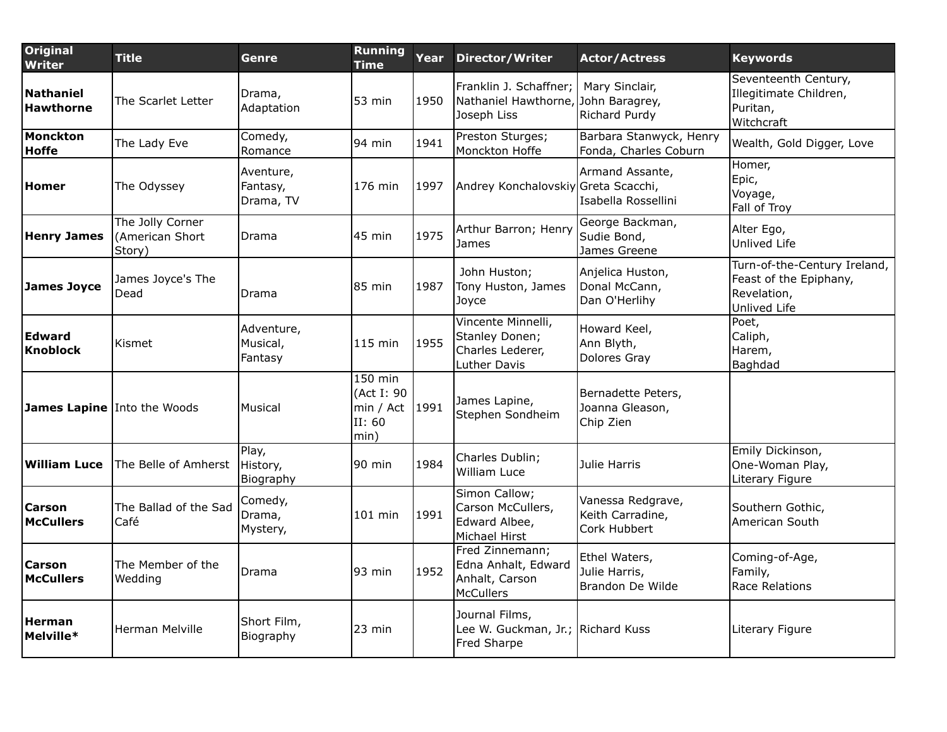| Original<br><b>Writer</b>            | <b>Title</b>                                  | Genre                              | <b>Running</b><br><b>Time</b>                        | Year | <b>Director/Writer</b>                                                   | <b>Actor/Actress</b>                                  | <b>Keywords</b>                                                                       |
|--------------------------------------|-----------------------------------------------|------------------------------------|------------------------------------------------------|------|--------------------------------------------------------------------------|-------------------------------------------------------|---------------------------------------------------------------------------------------|
| <b>Nathaniel</b><br><b>Hawthorne</b> | The Scarlet Letter                            | Drama,<br>Adaptation               | 53 min                                               | 1950 | Franklin J. Schaffner;<br>Nathaniel Hawthorne,<br>Joseph Liss            | Mary Sinclair,<br>John Baragrey,<br>Richard Purdy     | Seventeenth Century,<br>Illegitimate Children,<br>Puritan,<br>Witchcraft              |
| <b>Monckton</b><br>Hoffe             | The Lady Eve                                  | Comedy,<br>Romance                 | 94 min                                               | 1941 | Preston Sturges;<br>Monckton Hoffe                                       | Barbara Stanwyck, Henry<br>Fonda, Charles Coburn      | Wealth, Gold Digger, Love                                                             |
| <b>Homer</b>                         | The Odyssey                                   | Aventure,<br>Fantasy,<br>Drama, TV | 176 min                                              | 1997 | Andrey Konchalovskiy Greta Scacchi,                                      | Armand Assante,<br>Isabella Rossellini                | Homer,<br>Epic,<br>Voyage,<br>Fall of Troy                                            |
| <b>Henry James</b>                   | The Jolly Corner<br>(American Short<br>Story) | Drama                              | 45 min                                               | 1975 | Arthur Barron; Henry<br>James                                            | George Backman,<br>Sudie Bond,<br>James Greene        | Alter Ego,<br>Unlived Life                                                            |
| James Joyce                          | James Joyce's The<br>Dead                     | Drama                              | 85 min                                               | 1987 | John Huston;<br>Tony Huston, James<br>Joyce                              | Anjelica Huston,<br>Donal McCann,<br>Dan O'Herlihy    | Turn-of-the-Century Ireland,<br>Feast of the Epiphany,<br>Revelation,<br>Unlived Life |
| <b>Edward</b><br><b>Knoblock</b>     | Kismet                                        | Adventure,<br>Musical,<br>Fantasy  | 115 min                                              | 1955 | Vincente Minnelli,<br>Stanley Donen;<br>Charles Lederer,<br>Luther Davis | Howard Keel,<br>Ann Blyth,<br>Dolores Gray            | $\overline{\mathsf{Poet}}$ ,<br>Caliph,<br>Harem,<br>Baghdad                          |
| James Lapine Into the Woods          |                                               | Musical                            | 150 min<br>(Act I: 90<br>min / Act<br>II: 60<br>min) | 1991 | James Lapine,<br>Stephen Sondheim                                        | Bernadette Peters,<br>Joanna Gleason,<br>Chip Zien    |                                                                                       |
| <b>William Luce</b>                  | The Belle of Amherst                          | Play,<br>History,<br>Biography     | 90 min                                               | 1984 | Charles Dublin;<br>William Luce                                          | Julie Harris                                          | Emily Dickinson,<br>One-Woman Play,<br>Literary Figure                                |
| <b>Carson</b><br><b>McCullers</b>    | The Ballad of the Sad<br>Café                 | Comedy,<br>Drama,<br>Mystery,      | 101 min                                              | 1991 | Simon Callow;<br>Carson McCullers,<br>Edward Albee,<br>Michael Hirst     | Vanessa Redgrave,<br>Keith Carradine,<br>Cork Hubbert | Southern Gothic,<br>American South                                                    |
| <b>Carson</b><br><b>McCullers</b>    | The Member of the<br>Wedding                  | Drama                              | 93 min                                               | 1952 | Fred Zinnemann;<br>Edna Anhalt, Edward<br>Anhalt, Carson<br>McCullers    | Ethel Waters,<br>Julie Harris,<br>Brandon De Wilde    | Coming-of-Age,<br>Family,<br>Race Relations                                           |
| <b>Herman</b><br>Melville*           | Herman Melville                               | Short Film,<br>Biography           | $23$ min                                             |      | Journal Films,<br>Lee W. Guckman, Jr.; Richard Kuss<br>Fred Sharpe       |                                                       | Literary Figure                                                                       |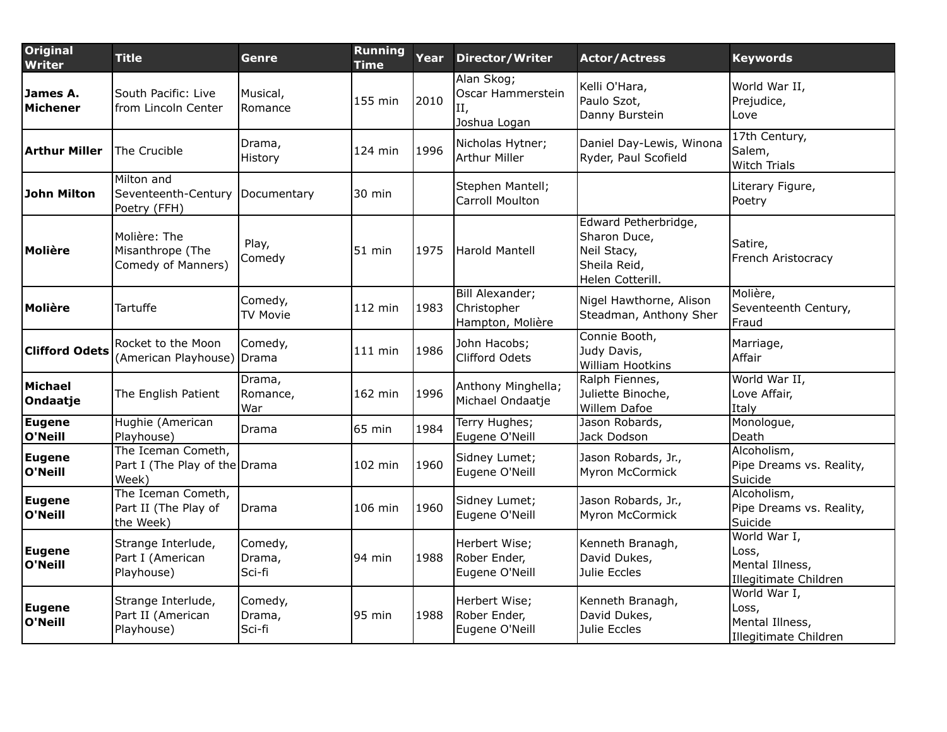| <b>Original</b><br><b>Writer</b> | <b>Title</b>                                                 | Genre                       | <b>Running</b><br><b>Time</b> | Year | <b>Director/Writer</b>                                | <b>Actor/Actress</b>                                                                    | <b>Keywords</b>                                                   |
|----------------------------------|--------------------------------------------------------------|-----------------------------|-------------------------------|------|-------------------------------------------------------|-----------------------------------------------------------------------------------------|-------------------------------------------------------------------|
| James A.<br>Michener             | South Pacific: Live<br>from Lincoln Center                   | Musical,<br>Romance         | 155 min                       | 2010 | Alan Skog;<br>Oscar Hammerstein<br>П,<br>Joshua Logan | Kelli O'Hara,<br>Paulo Szot,<br>Danny Burstein                                          | World War II,<br>Prejudice,<br>Love                               |
| <b>Arthur Miller</b>             | The Crucible                                                 | Drama,<br>History           | 124 min                       | 1996 | Nicholas Hytner;<br><b>Arthur Miller</b>              | Daniel Day-Lewis, Winona<br>Ryder, Paul Scofield                                        | 17th Century,<br>Salem,<br><b>Witch Trials</b>                    |
| John Milton                      | Milton and<br>Seventeenth-Century<br>Poetry (FFH)            | Documentary                 | $30 \text{ min}$              |      | Stephen Mantell;<br>Carroll Moulton                   |                                                                                         | Literary Figure,<br>Poetry                                        |
| Molière                          | Molière: The<br>Misanthrope (The<br>Comedy of Manners)       | Play,<br>Comedy             | $51$ min                      | 1975 | Harold Mantell                                        | Edward Petherbridge,<br>Sharon Duce,<br>Neil Stacy,<br>Sheila Reid,<br>Helen Cotterill. | Satire,<br>French Aristocracy                                     |
| Molière                          | Tartuffe                                                     | Comedy,<br><b>TV Movie</b>  | $112$ min                     | 1983 | Bill Alexander;<br>Christopher<br>Hampton, Molière    | Nigel Hawthorne, Alison<br>Steadman, Anthony Sher                                       | Molière,<br>Seventeenth Century,<br>Fraud                         |
| <b>Clifford Odets</b>            | Rocket to the Moon<br>(American Playhouse)                   | Comedy,<br>l Drama          | $111$ min                     | 1986 | John Hacobs;<br>Clifford Odets                        | Connie Booth,<br>Judy Davis,<br>William Hootkins                                        | Marriage,<br>Affair                                               |
| Michael<br>Ondaatje              | The English Patient                                          | Drama,<br>Romance,<br>War   | 162 min                       | 1996 | Anthony Minghella;<br>Michael Ondaatje                | Ralph Fiennes,<br>Juliette Binoche,<br>Willem Dafoe                                     | World War II,<br>Love Affair,<br>Italy                            |
| Eugene<br>O'Neill                | Hughie (American<br>Playhouse)                               | Drama                       | 65 min                        | 1984 | Terry Hughes;<br>Eugene O'Neill                       | Jason Robards,<br>Jack Dodson                                                           | Monologue,<br>Death                                               |
| <b>Eugene</b><br>O'Neill         | The Iceman Cometh,<br>Part I (The Play of the Drama<br>Week) |                             | 102 min                       | 1960 | Sidney Lumet;<br>Eugene O'Neill                       | Jason Robards, Jr.,<br>Myron McCormick                                                  | Alcoholism,<br>Pipe Dreams vs. Reality,<br>Suicide                |
| <b>Eugene</b><br>O'Neill         | The Iceman Cometh,<br>Part II (The Play of<br>the Week)      | Drama                       | 106 min                       | 1960 | Sidney Lumet;<br>Eugene O'Neill                       | Jason Robards, Jr.,<br>Myron McCormick                                                  | Alcoholism,<br>Pipe Dreams vs. Reality,<br>Suicide                |
| <b>Eugene</b><br>O'Neill         | Strange Interlude,<br>Part I (American<br>Playhouse)         | Comedy,<br>Drama,<br>Sci-fi | 94 min                        | 1988 | Herbert Wise;<br>Rober Ender,<br>Eugene O'Neill       | Kenneth Branagh,<br>David Dukes,<br>Julie Eccles                                        | World War I,<br>Loss,<br>Mental Illness,<br>Illegitimate Children |
| <b>Eugene</b><br>O'Neill         | Strange Interlude,<br>Part II (American<br>Playhouse)        | Comedy,<br>Drama,<br>Sci-fi | 95 min                        | 1988 | Herbert Wise;<br>Rober Ender,<br>Eugene O'Neill       | Kenneth Branagh,<br>David Dukes,<br>Julie Eccles                                        | World War I,<br>Loss,<br>Mental Illness,<br>Illegitimate Children |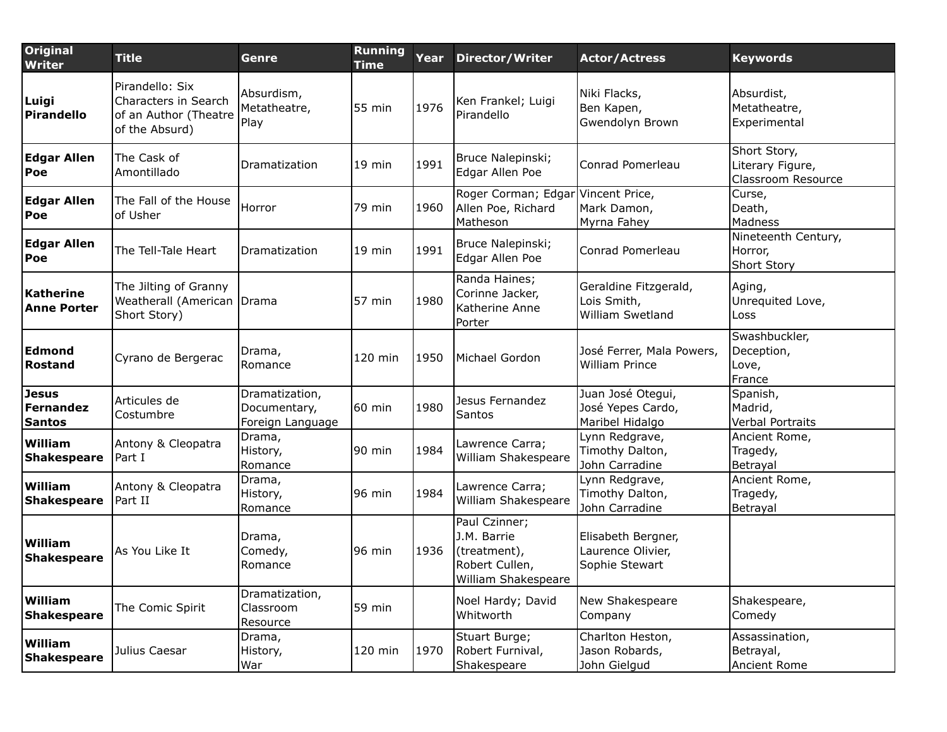| <b>Original</b><br><b>Writer</b>                  | <b>Title</b>                                                                       | Genre                                              | <b>Running</b><br><b>Time</b> | Year | <b>Director/Writer</b>                                                                | <b>Actor/Actress</b>                                      | <b>Keywords</b>                                        |
|---------------------------------------------------|------------------------------------------------------------------------------------|----------------------------------------------------|-------------------------------|------|---------------------------------------------------------------------------------------|-----------------------------------------------------------|--------------------------------------------------------|
| Luigi<br>Pirandello                               | Pirandello: Six<br>Characters in Search<br>of an Author (Theatre<br>of the Absurd) | Absurdism,<br>Metatheatre,<br>Play                 | 55 min                        | 1976 | Ken Frankel; Luigi<br>Pirandello                                                      | Niki Flacks,<br>Ben Kapen,<br>Gwendolyn Brown             | Absurdist,<br>Metatheatre,<br>Experimental             |
| <b>Edgar Allen</b><br>Poe                         | The Cask of<br>Amontillado                                                         | Dramatization                                      | 19 min                        | 1991 | Bruce Nalepinski;<br>Edgar Allen Poe                                                  | Conrad Pomerleau                                          | Short Story,<br>Literary Figure,<br>Classroom Resource |
| <b>Edgar Allen</b><br>Poe                         | The Fall of the House<br>of Usher                                                  | Horror                                             | 79 min                        | 1960 | Roger Corman; Edgar<br>Allen Poe, Richard<br>Matheson                                 | Vincent Price,<br>Mark Damon,<br>Myrna Fahey              | Curse,<br>Death,<br>Madness                            |
| <b>Edgar Allen</b><br>Poe                         | The Tell-Tale Heart                                                                | Dramatization                                      | 19 min                        | 1991 | Bruce Nalepinski;<br>Edgar Allen Poe                                                  | Conrad Pomerleau                                          | Nineteenth Century,<br>Horror,<br>Short Story          |
| Katherine<br><b>Anne Porter</b>                   | The Jilting of Granny<br>Weatherall (American Drama<br>Short Story)                |                                                    | 57 min                        | 1980 | Randa Haines;<br>Corinne Jacker,<br>Katherine Anne<br>Porter                          | Geraldine Fitzgerald,<br>Lois Smith,<br>William Swetland  | Aging,<br>Unrequited Love,<br>Loss                     |
| Edmond<br><b>Rostand</b>                          | Cyrano de Bergerac                                                                 | Drama,<br>Romance                                  | 120 min                       | 1950 | Michael Gordon                                                                        | José Ferrer, Mala Powers,<br>William Prince               | Swashbuckler,<br>Deception,<br>Love,<br>France         |
| <b>Jesus</b><br><b>Fernandez</b><br><b>Santos</b> | Articules de<br>Costumbre                                                          | Dramatization,<br>Documentary,<br>Foreign Language | 60 min                        | 1980 | Jesus Fernandez<br>Santos                                                             | Juan José Otegui,<br>José Yepes Cardo,<br>Maribel Hidalgo | Spanish,<br>Madrid,<br>Verbal Portraits                |
| William<br>Shakespeare                            | Antony & Cleopatra<br>Part I                                                       | Drama,<br>History,<br>Romance                      | 90 min                        | 1984 | Lawrence Carra;<br>William Shakespeare                                                | Lynn Redgrave,<br>Timothy Dalton,<br>John Carradine       | Ancient Rome,<br>Tragedy,<br>Betrayal                  |
| William<br>Shakespeare                            | Antony & Cleopatra<br>lPart II                                                     | Drama,<br>History,<br>Romance                      | 96 min                        | 1984 | Lawrence Carra;<br>William Shakespeare                                                | Lynn Redgrave,<br>Timothy Dalton,<br>John Carradine       | Ancient Rome,<br>Tragedy,<br>Betrayal                  |
| William<br><b>Shakespeare</b>                     | As You Like It                                                                     | Drama,<br>Comedy,<br>Romance                       | 96 min                        | 1936 | Paul Czinner;<br>J.M. Barrie<br>(treatment),<br>Robert Cullen,<br>William Shakespeare | Elisabeth Bergner,<br>Laurence Olivier,<br>Sophie Stewart |                                                        |
| William<br><b>Shakespeare</b>                     | The Comic Spirit                                                                   | Dramatization,<br>Classroom<br>Resource            | 59 min                        |      | Noel Hardy; David<br>Whitworth                                                        | New Shakespeare<br>Company                                | Shakespeare,<br>Comedy                                 |
| William<br><b>Shakespeare</b>                     | Julius Caesar                                                                      | Drama,<br>History,<br>War                          | 120 min                       | 1970 | Stuart Burge;<br>Robert Furnival,<br>Shakespeare                                      | Charlton Heston,<br>Jason Robards,<br>John Gielgud        | Assassination,<br>Betrayal,<br>Ancient Rome            |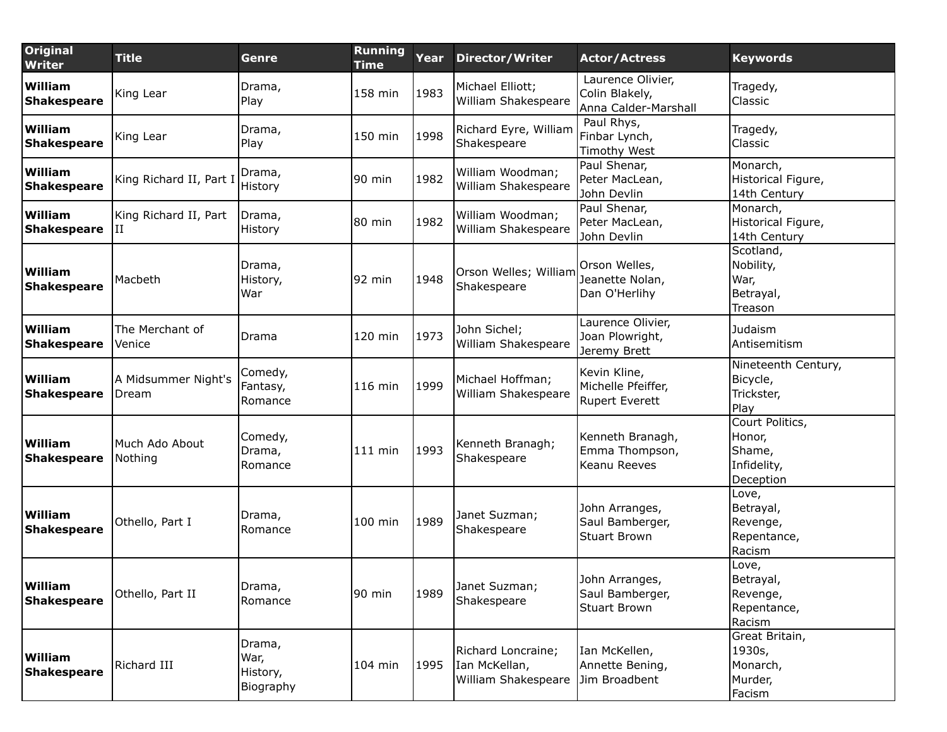| <b>Original</b><br>Writer            | <b>Title</b>                 | Genre                                   | <b>Running</b><br><b>Time</b> | Year | <b>Director/Writer</b>                                     | <b>Actor/Actress</b>                                        | <b>Keywords</b>                                                 |
|--------------------------------------|------------------------------|-----------------------------------------|-------------------------------|------|------------------------------------------------------------|-------------------------------------------------------------|-----------------------------------------------------------------|
| William<br><b>Shakespeare</b>        | King Lear                    | Drama,<br>Play                          | 158 min                       | 1983 | Michael Elliott;<br>William Shakespeare                    | Laurence Olivier,<br>Colin Blakely,<br>Anna Calder-Marshall | Tragedy,<br>Classic                                             |
| William<br><b>Shakespeare</b>        | King Lear                    | Drama,<br>Play                          | 150 min                       | 1998 | Richard Eyre, William<br>Shakespeare                       | Paul Rhys,<br>Finbar Lynch,<br><b>Timothy West</b>          | Tragedy,<br>Classic                                             |
| William<br><b>Shakespeare</b>        | King Richard II, Part I      | Drama,<br>History                       | 90 min                        | 1982 | William Woodman;<br>William Shakespeare                    | Paul Shenar,<br>Peter MacLean,<br>John Devlin               | Monarch,<br>Historical Figure,<br>14th Century                  |
| William<br><b>Shakespeare</b>        | King Richard II, Part<br>II  | Drama,<br>History                       | 80 min                        | 1982 | William Woodman;<br>William Shakespeare                    | Paul Shenar,<br>Peter MacLean,<br>John Devlin               | Monarch,<br>Historical Figure,<br>14th Century                  |
| William<br><b>Shakespeare</b>        | Macbeth                      | Drama,<br>History,<br>War               | 92 min                        | 1948 | Orson Welles; William<br>Shakespeare                       | Orson Welles,<br>Jeanette Nolan,<br>Dan O'Herlihy           | Scotland,<br>Nobility,<br>War,<br>Betrayal,<br>Treason          |
| William<br><b>Shakespeare</b>        | The Merchant of<br>Venice    | Drama                                   | 120 min                       | 1973 | John Sichel;<br>William Shakespeare                        | Laurence Olivier,<br>Joan Plowright,<br>Jeremy Brett        | Judaism<br>Antisemitism                                         |
| William<br><b>Shakespeare</b>        | A Midsummer Night's<br>Dream | Comedy,<br>Fantasy,<br>Romance          | 116 min                       | 1999 | Michael Hoffman;<br>William Shakespeare                    | Kevin Kline,<br>Michelle Pfeiffer,<br><b>Rupert Everett</b> | Nineteenth Century,<br>Bicycle,<br>Trickster,<br>Play           |
| William<br><b>Shakespeare</b>        | Much Ado About<br>Nothing    | Comedy,<br>Drama,<br>Romance            | $111$ min                     | 1993 | Kenneth Branagh;<br>Shakespeare                            | Kenneth Branagh,<br>Emma Thompson,<br>Keanu Reeves          | Court Politics,<br>Honor,<br>Shame,<br>Infidelity,<br>Deception |
| <b>William</b><br><b>Shakespeare</b> | Othello, Part I              | Drama,<br>Romance                       | 100 min                       | 1989 | Janet Suzman;<br>Shakespeare                               | John Arranges,<br>Saul Bamberger,<br><b>Stuart Brown</b>    | Love,<br>Betrayal,<br>Revenge,<br>Repentance,<br>Racism         |
| William<br><b>Shakespeare</b>        | Othello, Part II             | Drama,<br>Romance                       | 90 min                        | 1989 | Janet Suzman;<br>Shakespeare                               | John Arranges,<br>Saul Bamberger,<br><b>Stuart Brown</b>    | Love,<br>Betrayal,<br>Revenge,<br>Repentance,<br>Racism         |
| William<br><b>Shakespeare</b>        | Richard III                  | Drama,<br>War,<br>History,<br>Biography | 104 min                       | 1995 | Richard Loncraine;<br>Ian McKellan,<br>William Shakespeare | Ian McKellen,<br>Annette Bening,<br>Jim Broadbent           | Great Britain,<br>1930s,<br>Monarch,<br>Murder,<br>Facism       |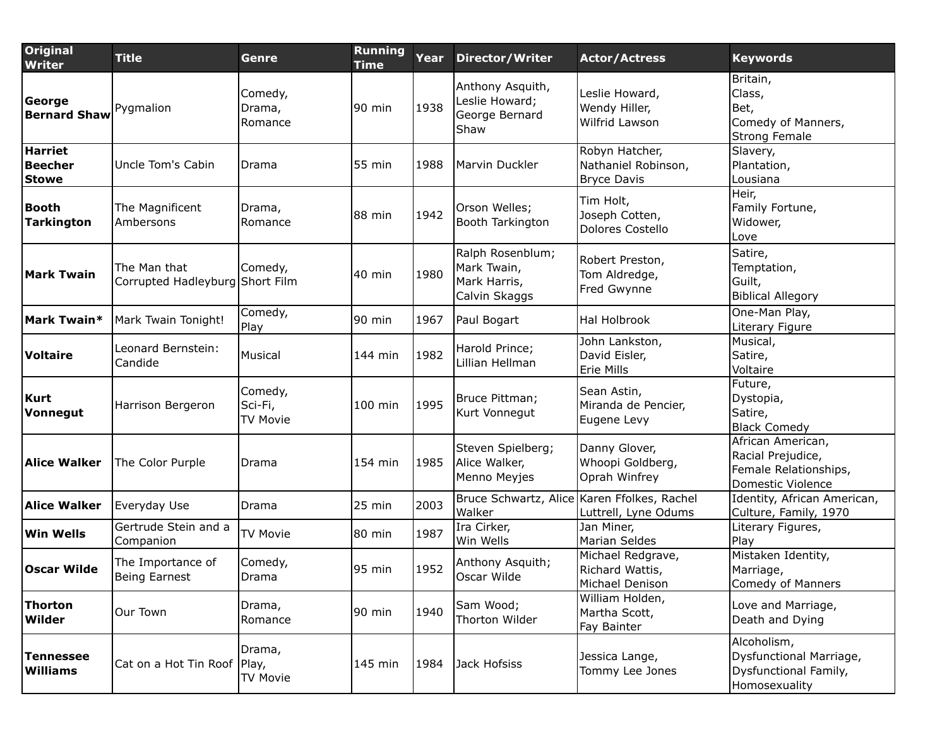| <b>Original</b><br><b>Writer</b>          | <b>Title</b>                                    | Genre                          | <b>Running</b><br><b>Time</b> | Year | <b>Director/Writer</b>                                           | <b>Actor/Actress</b>                                        | <b>Keywords</b>                                                                      |
|-------------------------------------------|-------------------------------------------------|--------------------------------|-------------------------------|------|------------------------------------------------------------------|-------------------------------------------------------------|--------------------------------------------------------------------------------------|
| George<br><b>Bernard Shaw</b>             | Pygmalion                                       | Comedy,<br>Drama,<br>Romance   | 90 min                        | 1938 | Anthony Asquith,<br>Leslie Howard;<br>George Bernard<br>Shaw     | Leslie Howard,<br>Wendy Hiller,<br>Wilfrid Lawson           | Britain,<br>Class,<br>Bet,<br>Comedy of Manners,<br>Strong Female                    |
| <b>Harriet</b><br>Beecher<br><b>Stowe</b> | Uncle Tom's Cabin                               | Drama                          | 55 min                        | 1988 | Marvin Duckler                                                   | Robyn Hatcher,<br>Nathaniel Robinson,<br><b>Bryce Davis</b> | Slavery,<br>Plantation,<br>Lousiana                                                  |
| Booth<br><b>Tarkington</b>                | The Magnificent<br>Ambersons                    | Drama,<br>Romance              | 88 min                        | 1942 | Orson Welles;<br>Booth Tarkington                                | Tim Holt,<br>Joseph Cotten,<br>Dolores Costello             | Heir,<br>Family Fortune,<br>Widower,<br>Love                                         |
| <b>Mark Twain</b>                         | The Man that<br>Corrupted Hadleyburg Short Film | Comedy,                        | 40 min                        | 1980 | Ralph Rosenblum;<br>Mark Twain,<br>Mark Harris,<br>Calvin Skaggs | Robert Preston,<br>Tom Aldredge,<br>Fred Gwynne             | Satire,<br>Temptation,<br>Guilt,<br><b>Biblical Allegory</b>                         |
| Mark Twain*                               | Mark Twain Tonight!                             | Comedy,<br>Play                | 90 min                        | 1967 | Paul Bogart                                                      | Hal Holbrook                                                | One-Man Play,<br>Literary Figure                                                     |
| Voltaire                                  | Leonard Bernstein:<br>Candide                   | Musical                        | 144 min                       | 1982 | Harold Prince;<br>Lillian Hellman                                | John Lankston,<br>David Eisler,<br>Erie Mills               | Musical,<br>Satire,<br>Voltaire                                                      |
| Kurt<br>Vonnegut                          | Harrison Bergeron                               | Comedy,<br>Sci-Fi,<br>TV Movie | 100 min                       | 1995 | Bruce Pittman;<br>Kurt Vonnegut                                  | Sean Astin,<br>Miranda de Pencier,<br>Eugene Levy           | Future,<br>Dystopia,<br>Satire,<br><b>Black Comedy</b>                               |
| <b>Alice Walker</b>                       | The Color Purple                                | Drama                          | 154 min                       | 1985 | Steven Spielberg;<br>Alice Walker,<br>Menno Meyjes               | Danny Glover,<br>Whoopi Goldberg,<br>Oprah Winfrey          | African American,<br>Racial Prejudice,<br>Female Relationships,<br>Domestic Violence |
| <b>Alice Walker</b>                       | Everyday Use                                    | Drama                          | 25 min                        | 2003 | Bruce Schwartz, Alice Karen Ffolkes, Rachel<br>Walker            | Luttrell, Lyne Odums                                        | Identity, African American,<br>Culture, Family, 1970                                 |
| <b>Win Wells</b>                          | Gertrude Stein and a<br>Companion               | <b>TV Movie</b>                | 80 min                        | 1987 | Ira Cirker,<br>Win Wells                                         | Jan Miner,<br>Marian Seldes                                 | Literary Figures,<br>Play                                                            |
| <b>Oscar Wilde</b>                        | The Importance of<br>Being Earnest              | Comedy,<br>Drama               | 95 min                        | 1952 | Anthony Asquith;<br>Oscar Wilde                                  | Michael Redgrave,<br>Richard Wattis,<br>Michael Denison     | Mistaken Identity,<br>Marriage,<br>Comedy of Manners                                 |
| Thorton<br>Wilder                         | Our Town                                        | Drama,<br>Romance              | 90 min                        | 1940 | Sam Wood;<br>Thorton Wilder                                      | William Holden,<br>Martha Scott,<br>Fay Bainter             | Love and Marriage,<br>Death and Dying                                                |
| Tennessee<br>Williams                     | Cat on a Hot Tin Roof   Play,                   | Drama,<br><b>TV Movie</b>      | 145 min                       | 1984 | Jack Hofsiss                                                     | Jessica Lange,<br>Tommy Lee Jones                           | Alcoholism,<br>Dysfunctional Marriage,<br>Dysfunctional Family,<br>Homosexuality     |